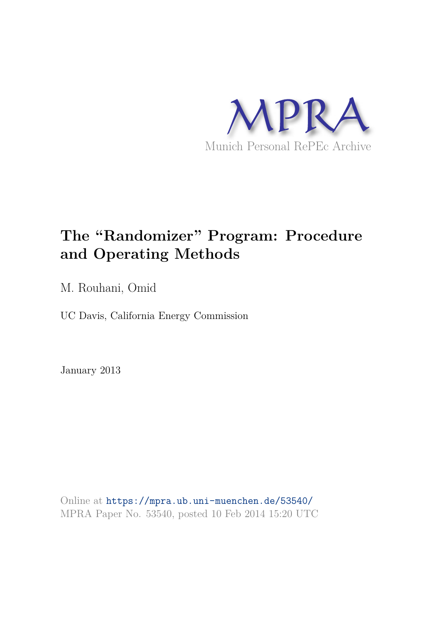

# **The "Randomizer" Program: Procedure and Operating Methods**

M. Rouhani, Omid

UC Davis, California Energy Commission

January 2013

Online at https://mpra.ub.uni-muenchen.de/53540/ MPRA Paper No. 53540, posted 10 Feb 2014 15:20 UTC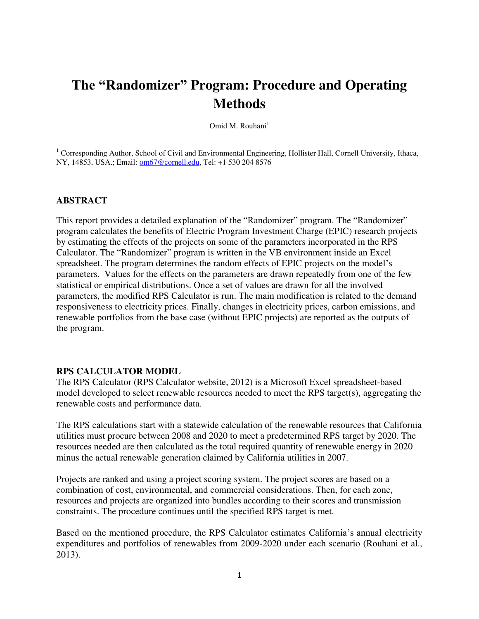# **The "Randomizer" Program: Procedure and Operating Methods**

Omid M. Rouhani<sup>1</sup>

<sup>1</sup> Corresponding Author, School of Civil and Environmental Engineering, Hollister Hall, Cornell University, Ithaca, NY, 14853, USA.; Email: [om67@cornell.edu,](mailto:om67@cornell.edu) Tel: +1 530 204 8576

# **ABSTRACT**

This report provides a detailed explanation of the "Randomizer" program. The "Randomizer" program calculates the benefits of Electric Program Investment Charge (EPIC) research projects by estimating the effects of the projects on some of the parameters incorporated in the RPS Calculator. The "Randomizer" program is written in the VB environment inside an Excel spreadsheet. The program determines the random effects of EPIC projects on the model's parameters. Values for the effects on the parameters are drawn repeatedly from one of the few statistical or empirical distributions. Once a set of values are drawn for all the involved parameters, the modified RPS Calculator is run. The main modification is related to the demand responsiveness to electricity prices. Finally, changes in electricity prices, carbon emissions, and renewable portfolios from the base case (without EPIC projects) are reported as the outputs of the program.

#### **RPS CALCULATOR MODEL**

The RPS Calculator (RPS Calculator website, 2012) is a Microsoft Excel spreadsheet-based model developed to select renewable resources needed to meet the RPS target(s), aggregating the renewable costs and performance data.

The RPS calculations start with a statewide calculation of the renewable resources that California utilities must procure between 2008 and 2020 to meet a predetermined RPS target by 2020. The resources needed are then calculated as the total required quantity of renewable energy in 2020 minus the actual renewable generation claimed by California utilities in 2007.

Projects are ranked and using a project scoring system. The project scores are based on a combination of cost, environmental, and commercial considerations. Then, for each zone, resources and projects are organized into bundles according to their scores and transmission constraints. The procedure continues until the specified RPS target is met.

Based on the mentioned procedure, the RPS Calculator estimates California's annual electricity expenditures and portfolios of renewables from 2009-2020 under each scenario (Rouhani et al., 2013).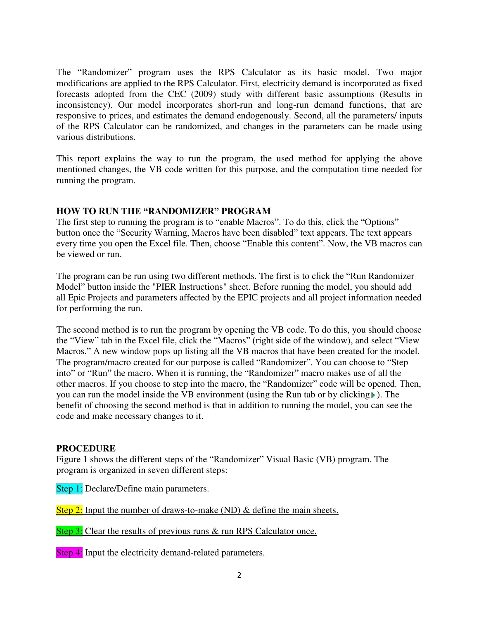The "Randomizer" program uses the RPS Calculator as its basic model. Two major modifications are applied to the RPS Calculator. First, electricity demand is incorporated as fixed forecasts adopted from the CEC (2009) study with different basic assumptions (Results in inconsistency). Our model incorporates short-run and long-run demand functions, that are responsive to prices, and estimates the demand endogenously. Second, all the parameters/ inputs of the RPS Calculator can be randomized, and changes in the parameters can be made using various distributions.

This report explains the way to run the program, the used method for applying the above mentioned changes, the VB code written for this purpose, and the computation time needed for running the program.

# **HOW TO RUN THE "RANDOMIZER" PROGRAM**

The first step to running the program is to "enable Macros". To do this, click the "Options" button once the "Security Warning, Macros have been disabled" text appears. The text appears every time you open the Excel file. Then, choose "Enable this content". Now, the VB macros can be viewed or run.

The program can be run using two different methods. The first is to click the "Run Randomizer Model" button inside the "PIER Instructions" sheet. Before running the model, you should add all Epic Projects and parameters affected by the EPIC projects and all project information needed for performing the run.

The second method is to run the program by opening the VB code. To do this, you should choose the "View" tab in the Excel file, click the "Macros" (right side of the window), and select "View Macros." A new window pops up listing all the VB macros that have been created for the model. The program/macro created for our purpose is called "Randomizer". You can choose to "Step into" or "Run" the macro. When it is running, the "Randomizer" macro makes use of all the other macros. If you choose to step into the macro, the "Randomizer" code will be opened. Then, you can run the model inside the VB environment (using the Run tab or by clicking ). The benefit of choosing the second method is that in addition to running the model, you can see the code and make necessary changes to it.

# **PROCEDURE**

Figure 1 shows the different steps of the "Randomizer" Visual Basic (VB) program. The program is organized in seven different steps:

Step 1: Declare/Define main parameters.

Step 2: Input the number of draws-to-make (ND) & define the main sheets.

Step 3: Clear the results of previous runs & run RPS Calculator once.

Step 4: Input the electricity demand-related parameters.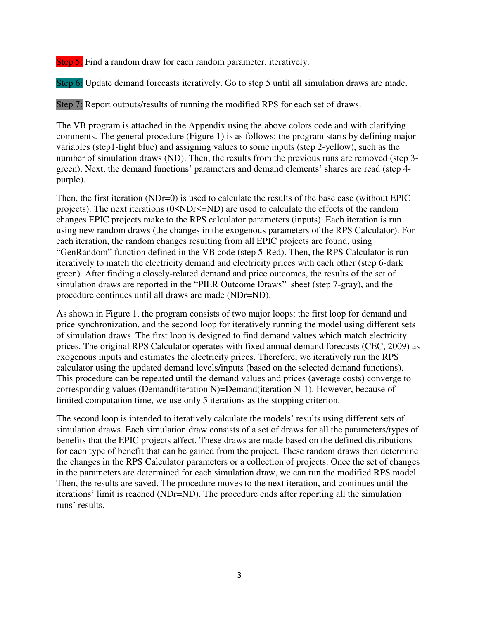Step 5: Find a random draw for each random parameter, iteratively.

Step 6: Update demand forecasts iteratively. Go to step 5 until all simulation draws are made.

# Step 7: Report outputs/results of running the modified RPS for each set of draws.

The VB program is attached in the Appendix using the above colors code and with clarifying comments. The general procedure (Figure 1) is as follows: the program starts by defining major variables (step1-light blue) and assigning values to some inputs (step 2-yellow), such as the number of simulation draws (ND). Then, the results from the previous runs are removed (step 3 green). Next, the demand functions' parameters and demand elements' shares are read (step 4 purple).

Then, the first iteration (NDr=0) is used to calculate the results of the base case (without EPIC projects). The next iterations  $(0 \triangle NDr \triangleleft ND)$  are used to calculate the effects of the random changes EPIC projects make to the RPS calculator parameters (inputs). Each iteration is run using new random draws (the changes in the exogenous parameters of the RPS Calculator). For each iteration, the random changes resulting from all EPIC projects are found, using "GenRandom" function defined in the VB code (step 5-Red). Then, the RPS Calculator is run iteratively to match the electricity demand and electricity prices with each other (step 6-dark green). After finding a closely-related demand and price outcomes, the results of the set of simulation draws are reported in the "PIER Outcome Draws" sheet (step 7-gray), and the procedure continues until all draws are made (NDr=ND).

As shown in Figure 1, the program consists of two major loops: the first loop for demand and price synchronization, and the second loop for iteratively running the model using different sets of simulation draws. The first loop is designed to find demand values which match electricity prices. The original RPS Calculator operates with fixed annual demand forecasts (CEC, 2009) as exogenous inputs and estimates the electricity prices. Therefore, we iteratively run the RPS calculator using the updated demand levels/inputs (based on the selected demand functions). This procedure can be repeated until the demand values and prices (average costs) converge to corresponding values (Demand(iteration N)=Demand(iteration N-1). However, because of limited computation time, we use only 5 iterations as the stopping criterion.

The second loop is intended to iteratively calculate the models' results using different sets of simulation draws. Each simulation draw consists of a set of draws for all the parameters/types of benefits that the EPIC projects affect. These draws are made based on the defined distributions for each type of benefit that can be gained from the project. These random draws then determine the changes in the RPS Calculator parameters or a collection of projects. Once the set of changes in the parameters are determined for each simulation draw, we can run the modified RPS model. Then, the results are saved. The procedure moves to the next iteration, and continues until the iterations' limit is reached (NDr=ND). The procedure ends after reporting all the simulation runs' results.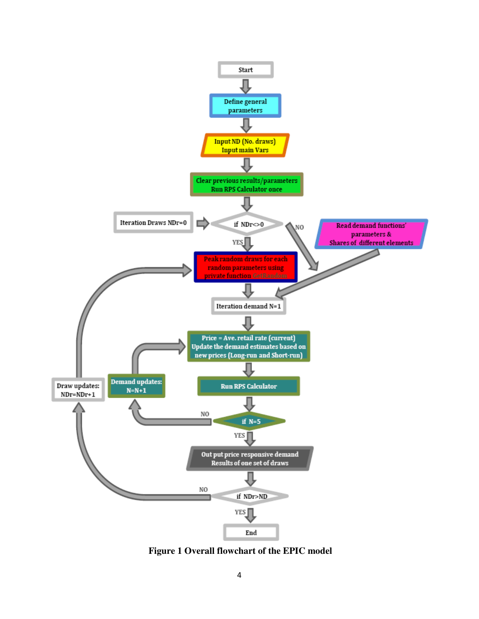

 **Figure 1 Overall flowchart of the EPIC model**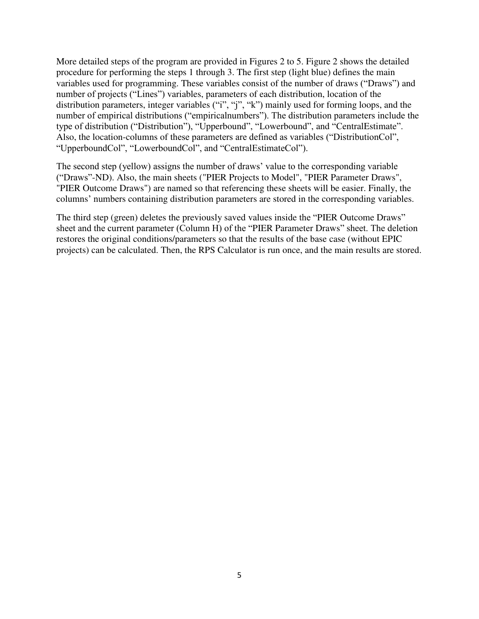More detailed steps of the program are provided in Figures 2 to 5. Figure 2 shows the detailed procedure for performing the steps 1 through 3. The first step (light blue) defines the main variables used for programming. These variables consist of the number of draws ("Draws") and number of projects ("Lines") variables, parameters of each distribution, location of the distribution parameters, integer variables ("i", "j", "k") mainly used for forming loops, and the number of empirical distributions ("empiricalnumbers"). The distribution parameters include the type of distribution ("Distribution"), "Upperbound", "Lowerbound", and "CentralEstimate". Also, the location-columns of these parameters are defined as variables ("DistributionCol", "UpperboundCol", "LowerboundCol", and "CentralEstimateCol").

The second step (yellow) assigns the number of draws' value to the corresponding variable ("Draws"-ND). Also, the main sheets ("PIER Projects to Model", "PIER Parameter Draws", "PIER Outcome Draws") are named so that referencing these sheets will be easier. Finally, the columns' numbers containing distribution parameters are stored in the corresponding variables.

The third step (green) deletes the previously saved values inside the "PIER Outcome Draws" sheet and the current parameter (Column H) of the "PIER Parameter Draws" sheet. The deletion restores the original conditions/parameters so that the results of the base case (without EPIC projects) can be calculated. Then, the RPS Calculator is run once, and the main results are stored.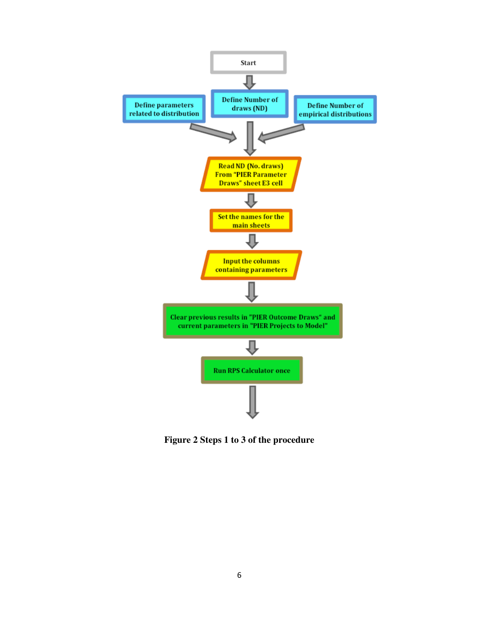

**Figure 2 Steps 1 to 3 of the procedure**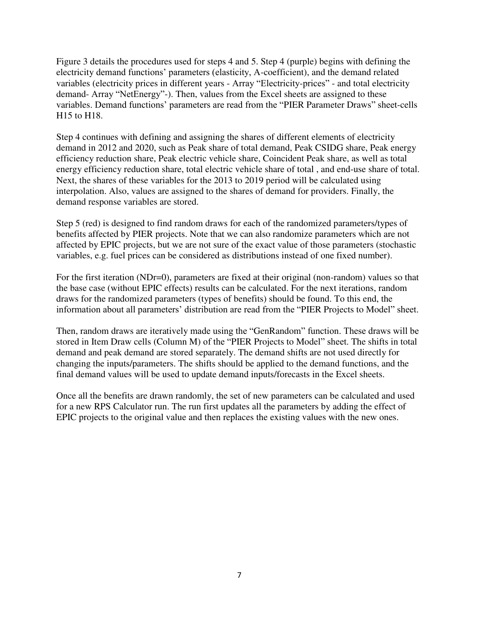Figure 3 details the procedures used for steps 4 and 5. Step 4 (purple) begins with defining the electricity demand functions' parameters (elasticity, A-coefficient), and the demand related variables (electricity prices in different years - Array "Electricity-prices" - and total electricity demand- Array "NetEnergy"-). Then, values from the Excel sheets are assigned to these variables. Demand functions' parameters are read from the "PIER Parameter Draws" sheet-cells H15 to H18.

Step 4 continues with defining and assigning the shares of different elements of electricity demand in 2012 and 2020, such as Peak share of total demand, Peak CSIDG share, Peak energy efficiency reduction share, Peak electric vehicle share, Coincident Peak share, as well as total energy efficiency reduction share, total electric vehicle share of total, and end-use share of total. Next, the shares of these variables for the 2013 to 2019 period will be calculated using interpolation. Also, values are assigned to the shares of demand for providers. Finally, the demand response variables are stored.

Step 5 (red) is designed to find random draws for each of the randomized parameters/types of benefits affected by PIER projects. Note that we can also randomize parameters which are not affected by EPIC projects, but we are not sure of the exact value of those parameters (stochastic variables, e.g. fuel prices can be considered as distributions instead of one fixed number).

For the first iteration (NDr=0), parameters are fixed at their original (non-random) values so that the base case (without EPIC effects) results can be calculated. For the next iterations, random draws for the randomized parameters (types of benefits) should be found. To this end, the information about all parameters' distribution are read from the "PIER Projects to Model" sheet.

Then, random draws are iteratively made using the "GenRandom" function. These draws will be stored in Item Draw cells (Column M) of the "PIER Projects to Model" sheet. The shifts in total demand and peak demand are stored separately. The demand shifts are not used directly for changing the inputs/parameters. The shifts should be applied to the demand functions, and the final demand values will be used to update demand inputs/forecasts in the Excel sheets.

Once all the benefits are drawn randomly, the set of new parameters can be calculated and used for a new RPS Calculator run. The run first updates all the parameters by adding the effect of EPIC projects to the original value and then replaces the existing values with the new ones.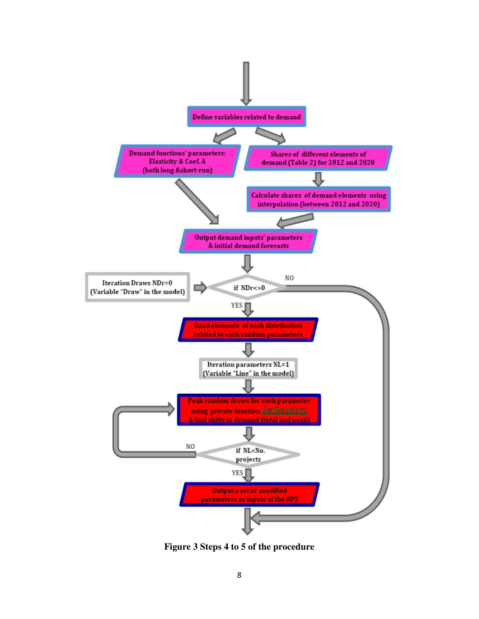

**Figure 3 Steps 4 to 5 of the procedure**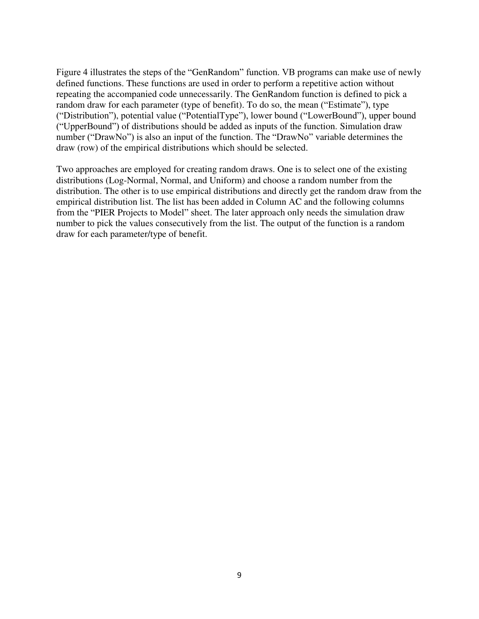Figure 4 illustrates the steps of the "GenRandom" function. VB programs can make use of newly defined functions. These functions are used in order to perform a repetitive action without repeating the accompanied code unnecessarily. The GenRandom function is defined to pick a random draw for each parameter (type of benefit). To do so, the mean ("Estimate"), type ("Distribution"), potential value ("PotentialType"), lower bound ("LowerBound"), upper bound ("UpperBound") of distributions should be added as inputs of the function. Simulation draw number ("DrawNo") is also an input of the function. The "DrawNo" variable determines the draw (row) of the empirical distributions which should be selected.

Two approaches are employed for creating random draws. One is to select one of the existing distributions (Log-Normal, Normal, and Uniform) and choose a random number from the distribution. The other is to use empirical distributions and directly get the random draw from the empirical distribution list. The list has been added in Column AC and the following columns from the "PIER Projects to Model" sheet. The later approach only needs the simulation draw number to pick the values consecutively from the list. The output of the function is a random draw for each parameter/type of benefit.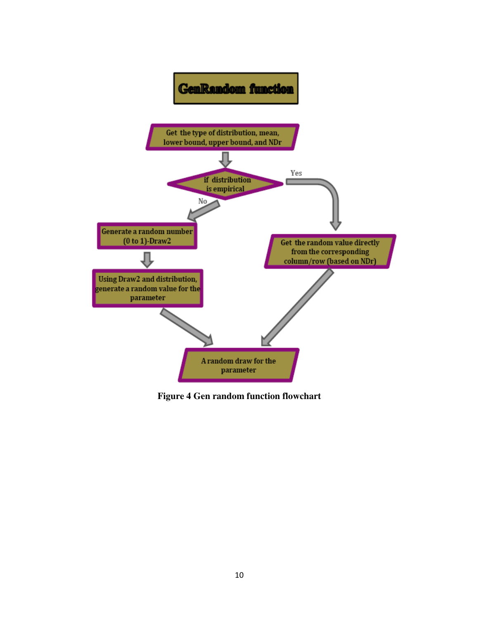

**Figure 4 Gen random function flowchart**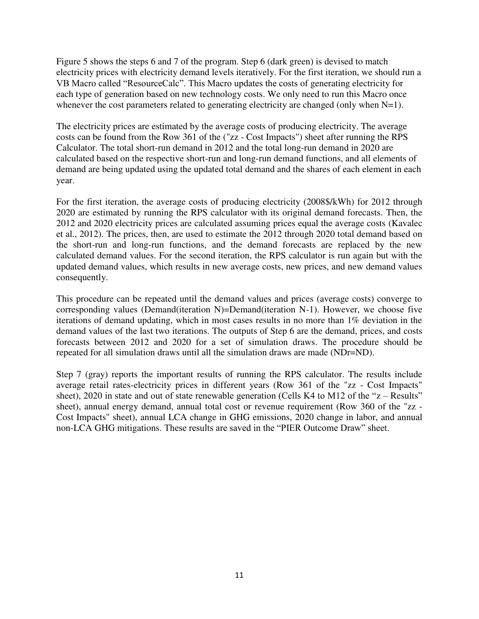Figure 5 shows the steps 6 and 7 of the program. Step 6 (dark green) is devised to match electricity prices with electricity demand levels iteratively. For the first iteration, we should run a VB Macro called "ResourceCalc". This Macro updates the costs of generating electricity for each type of generation based on new technology costs. We only need to run this Macro once whenever the cost parameters related to generating electricity are changed (only when  $N=1$ ).

The electricity prices are estimated by the average costs of producing electricity. The average costs can be found from the Row 361 of the ("zz - Cost Impacts") sheet after running the RPS Calculator. The total short-run demand in 2012 and the total long-run demand in 2020 are calculated based on the respective short-run and long-run demand functions, and all elements of demand are being updated using the updated total demand and the shares of each element in each year.

For the first iteration, the average costs of producing electricity (2008\$/kWh) for 2012 through 2020 are estimated by running the RPS calculator with its original demand forecasts. Then, the 2012 and 2020 electricity prices are calculated assuming prices equal the average costs (Kavalec et al., 2012). The prices, then, are used to estimate the 2012 through 2020 total demand based on the short-run and long-run functions, and the demand forecasts are replaced by the new calculated demand values. For the second iteration, the RPS calculator is run again but with the updated demand values, which results in new average costs, new prices, and new demand values consequently.

This procedure can be repeated until the demand values and prices (average costs) converge to corresponding values (Demand(iteration N)=Demand(iteration N-1). However, we choose five iterations of demand updating, which in most cases results in no more than 1% deviation in the demand values of the last two iterations. The outputs of Step 6 are the demand, prices, and costs forecasts between 2012 and 2020 for a set of simulation draws. The procedure should be repeated for all simulation draws until all the simulation draws are made (NDr=ND).

Step 7 (gray) reports the important results of running the RPS calculator. The results include average retail rates-electricity prices in different years (Row 361 of the "zz - Cost Impacts" sheet), 2020 in state and out of state renewable generation (Cells K4 to M12 of the " $z$  – Results" sheet), annual energy demand, annual total cost or revenue requirement (Row 360 of the "zz - Cost Impacts" sheet), annual LCA change in GHG emissions, 2020 change in labor, and annual non-LCA GHG mitigations. These results are saved in the "PIER Outcome Draw" sheet.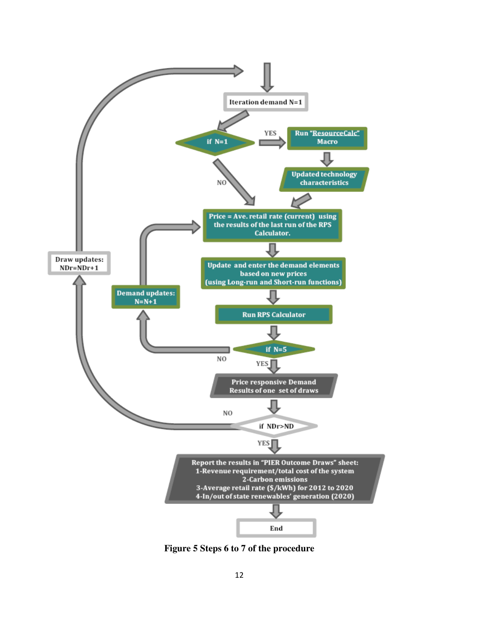

**Figure 5 Steps 6 to 7 of the procedure**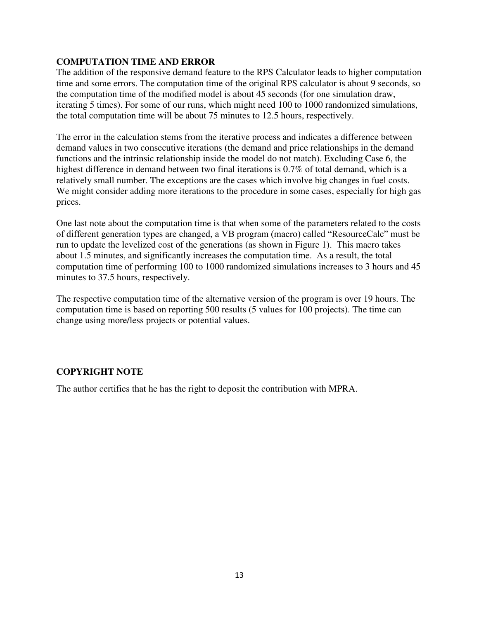# **COMPUTATION TIME AND ERROR**

The addition of the responsive demand feature to the RPS Calculator leads to higher computation time and some errors. The computation time of the original RPS calculator is about 9 seconds, so the computation time of the modified model is about 45 seconds (for one simulation draw, iterating 5 times). For some of our runs, which might need 100 to 1000 randomized simulations, the total computation time will be about 75 minutes to 12.5 hours, respectively.

The error in the calculation stems from the iterative process and indicates a difference between demand values in two consecutive iterations (the demand and price relationships in the demand functions and the intrinsic relationship inside the model do not match). Excluding Case 6, the highest difference in demand between two final iterations is 0.7% of total demand, which is a relatively small number. The exceptions are the cases which involve big changes in fuel costs. We might consider adding more iterations to the procedure in some cases, especially for high gas prices.

One last note about the computation time is that when some of the parameters related to the costs of different generation types are changed, a VB program (macro) called "ResourceCalc" must be run to update the levelized cost of the generations (as shown in Figure 1). This macro takes about 1.5 minutes, and significantly increases the computation time. As a result, the total computation time of performing 100 to 1000 randomized simulations increases to 3 hours and 45 minutes to 37.5 hours, respectively.

The respective computation time of the alternative version of the program is over 19 hours. The computation time is based on reporting 500 results (5 values for 100 projects). The time can change using more/less projects or potential values.

# **COPYRIGHT NOTE**

The author certifies that he has the right to deposit the contribution with MPRA.